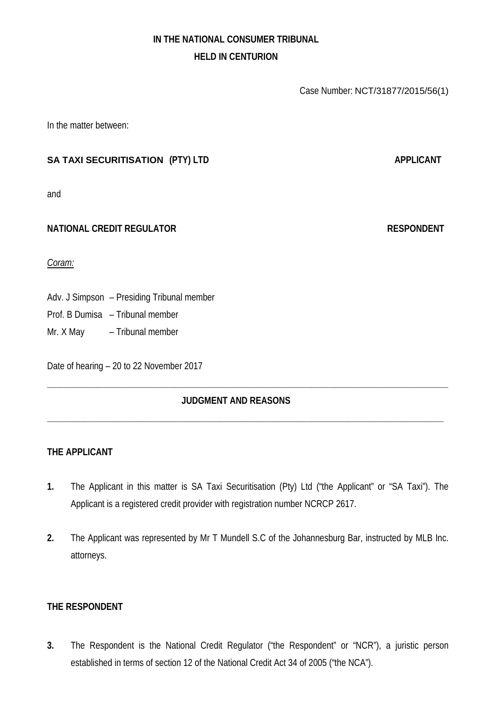# **IN THE NATIONAL CONSUMER TRIBUNAL HELD IN CENTURION**

Case Number: NCT/31877/2015/56(1)

In the matter between:

# **SA TAXI SECURITISATION** (PTY) LTD **APPLICANT**

and

### **NATIONAL CREDIT REGULATOR RESPONDENT**

*Coram:*

Adv. J Simpson – Presiding Tribunal member

Prof. B Dumisa – Tribunal member

Mr. X May – Tribunal member

Date of hearing – 20 to 22 November 2017

# **JUDGMENT AND REASONS**

**\_\_\_\_\_\_\_\_\_\_\_\_\_\_\_\_\_\_\_\_\_\_\_\_\_\_\_\_\_\_\_\_\_\_\_\_\_\_\_\_\_\_\_\_\_\_\_\_\_\_\_\_\_\_\_\_\_\_\_\_\_\_\_\_\_\_\_\_\_\_\_\_\_\_\_\_\_\_\_\_\_\_\_\_\_\_\_\_**

**\_\_\_\_\_\_\_\_\_\_\_\_\_\_\_\_\_\_\_\_\_\_\_\_\_\_\_\_\_\_\_\_\_\_\_\_\_\_\_\_\_\_\_\_\_\_\_\_\_\_\_\_\_\_\_\_\_\_\_\_\_\_\_\_\_\_\_\_\_\_\_\_\_\_\_\_\_\_\_\_\_\_\_\_\_\_\_**

### **THE APPLICANT**

- **1.** The Applicant in this matter is SA Taxi Securitisation (Pty) Ltd ("the Applicant" or "SA Taxi"). The Applicant is a registered credit provider with registration number NCRCP 2617.
- **2.** The Applicant was represented by Mr T Mundell S.C of the Johannesburg Bar, instructed by MLB Inc. attorneys.

# **THE RESPONDENT**

**3.** The Respondent is the National Credit Regulator ("the Respondent" or "NCR"), a juristic person established in terms of section 12 of the National Credit Act 34 of 2005 ("the NCA").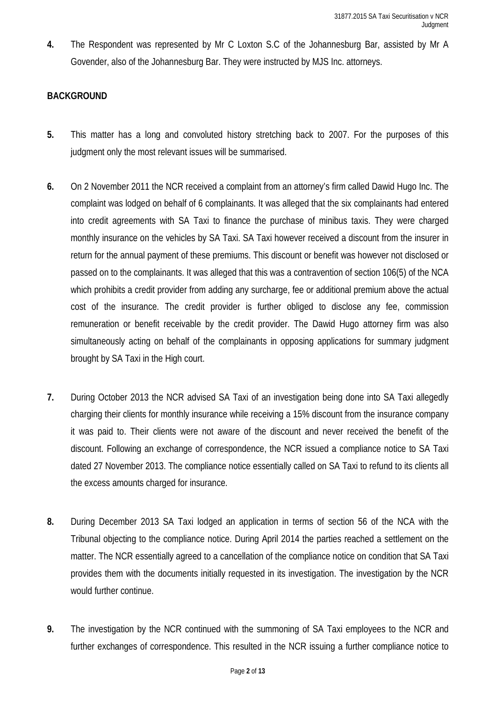**4.** The Respondent was represented by Mr C Loxton S.C of the Johannesburg Bar, assisted by Mr A Govender, also of the Johannesburg Bar. They were instructed by MJS Inc. attorneys.

# **BACKGROUND**

- **5.** This matter has a long and convoluted history stretching back to 2007. For the purposes of this judgment only the most relevant issues will be summarised.
- **6.** On 2 November 2011 the NCR received a complaint from an attorney's firm called Dawid Hugo Inc. The complaint was lodged on behalf of 6 complainants. It was alleged that the six complainants had entered into credit agreements with SA Taxi to finance the purchase of minibus taxis. They were charged monthly insurance on the vehicles by SA Taxi. SA Taxi however received a discount from the insurer in return for the annual payment of these premiums. This discount or benefit was however not disclosed or passed on to the complainants. It was alleged that this was a contravention of section 106(5) of the NCA which prohibits a credit provider from adding any surcharge, fee or additional premium above the actual cost of the insurance. The credit provider is further obliged to disclose any fee, commission remuneration or benefit receivable by the credit provider. The Dawid Hugo attorney firm was also simultaneously acting on behalf of the complainants in opposing applications for summary judgment brought by SA Taxi in the High court.
- **7.** During October 2013 the NCR advised SA Taxi of an investigation being done into SA Taxi allegedly charging their clients for monthly insurance while receiving a 15% discount from the insurance company it was paid to. Their clients were not aware of the discount and never received the benefit of the discount. Following an exchange of correspondence, the NCR issued a compliance notice to SA Taxi dated 27 November 2013. The compliance notice essentially called on SA Taxi to refund to its clients all the excess amounts charged for insurance.
- **8.** During December 2013 SA Taxi lodged an application in terms of section 56 of the NCA with the Tribunal objecting to the compliance notice. During April 2014 the parties reached a settlement on the matter. The NCR essentially agreed to a cancellation of the compliance notice on condition that SA Taxi provides them with the documents initially requested in its investigation. The investigation by the NCR would further continue.
- **9.** The investigation by the NCR continued with the summoning of SA Taxi employees to the NCR and further exchanges of correspondence. This resulted in the NCR issuing a further compliance notice to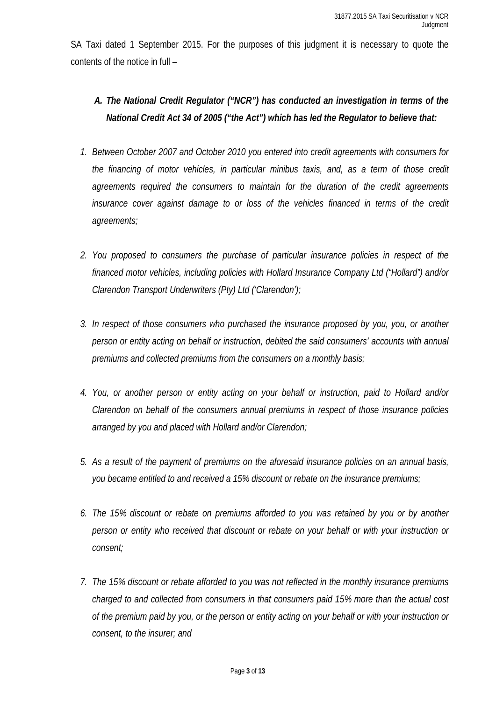SA Taxi dated 1 September 2015. For the purposes of this judgment it is necessary to quote the contents of the notice in full –

# *A. The National Credit Regulator ("NCR") has conducted an investigation in terms of the National Credit Act 34 of 2005 ("the Act") which has led the Regulator to believe that:*

- *1. Between October 2007 and October 2010 you entered into credit agreements with consumers for the financing of motor vehicles, in particular minibus taxis, and, as a term of those credit agreements required the consumers to maintain for the duration of the credit agreements insurance cover against damage to or loss of the vehicles financed in terms of the credit agreements;*
- *2. You proposed to consumers the purchase of particular insurance policies in respect of the financed motor vehicles, including policies with Hollard Insurance Company Ltd ("Hollard") and/or Clarendon Transport Underwriters (Pty) Ltd ('Clarendon');*
- *3. In respect of those consumers who purchased the insurance proposed by you, you, or another person or entity acting on behalf or instruction, debited the said consumers' accounts with annual premiums and collected premiums from the consumers on a monthly basis;*
- *4. You, or another person or entity acting on your behalf or instruction, paid to Hollard and/or Clarendon on behalf of the consumers annual premiums in respect of those insurance policies arranged by you and placed with Hollard and/or Clarendon;*
- *5. As a result of the payment of premiums on the aforesaid insurance policies on an annual basis, you became entitled to and received a 15% discount or rebate on the insurance premiums;*
- *6. The 15% discount or rebate on premiums afforded to you was retained by you or by another person or entity who received that discount or rebate on your behalf or with your instruction or consent;*
- *7. The 15% discount or rebate afforded to you was not reflected in the monthly insurance premiums charged to and collected from consumers in that consumers paid 15% more than the actual cost of the premium paid by you, or the person or entity acting on your behalf or with your instruction or consent, to the insurer; and*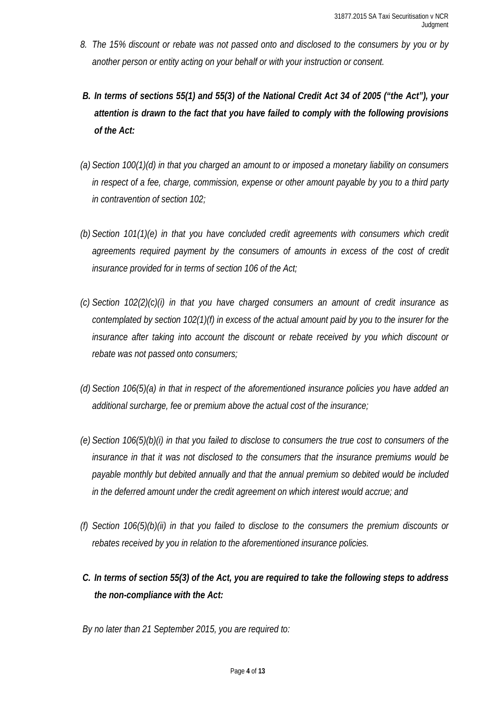- *8. The 15% discount or rebate was not passed onto and disclosed to the consumers by you or by another person or entity acting on your behalf or with your instruction or consent.*
- *B. In terms of sections 55(1) and 55(3) of the National Credit Act 34 of 2005 ("the Act"), your attention is drawn to the fact that you have failed to comply with the following provisions of the Act:*
- *(a) Section 100(1)(d) in that you charged an amount to or imposed a monetary liability on consumers in respect of a fee, charge, commission, expense or other amount payable by you to a third party in contravention of section 102;*
- *(b) Section 101(1)(e) in that you have concluded credit agreements with consumers which credit agreements required payment by the consumers of amounts in excess of the cost of credit insurance provided for in terms of section 106 of the Act;*
- *(c) Section 102(2)(c)(i) in that you have charged consumers an amount of credit insurance as contemplated by section 102(1)(f) in excess of the actual amount paid by you to the insurer for the*  insurance after taking into account the discount or rebate received by you which discount or *rebate was not passed onto consumers;*
- *(d) Section 106(5)(a) in that in respect of the aforementioned insurance policies you have added an additional surcharge, fee or premium above the actual cost of the insurance;*
- *(e) Section 106(5)(b)(i) in that you failed to disclose to consumers the true cost to consumers of the insurance in that it was not disclosed to the consumers that the insurance premiums would be payable monthly but debited annually and that the annual premium so debited would be included in the deferred amount under the credit agreement on which interest would accrue; and*
- *(f) Section 106(5)(b)(ii) in that you failed to disclose to the consumers the premium discounts or rebates received by you in relation to the aforementioned insurance policies.*
- *C. In terms of section 55(3) of the Act, you are required to take the following steps to address the non-compliance with the Act:*

*By no later than 21 September 2015, you are required to:*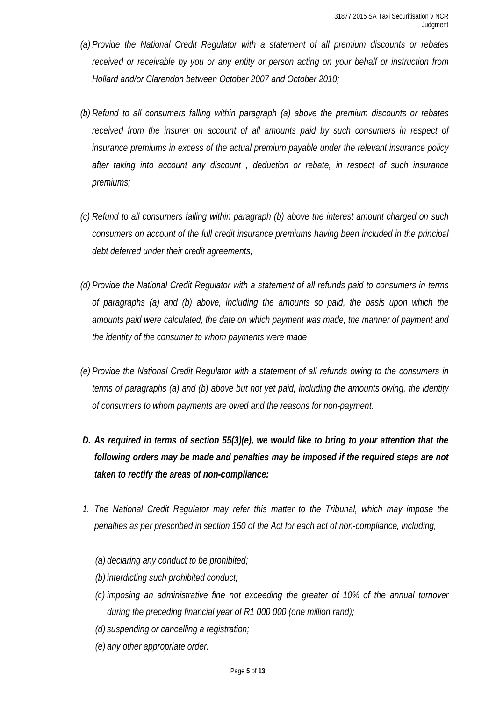- *(a) Provide the National Credit Regulator with a statement of all premium discounts or rebates received or receivable by you or any entity or person acting on your behalf or instruction from Hollard and/or Clarendon between October 2007 and October 2010;*
- *(b) Refund to all consumers falling within paragraph (a) above the premium discounts or rebates received from the insurer on account of all amounts paid by such consumers in respect of insurance premiums in excess of the actual premium payable under the relevant insurance policy after taking into account any discount , deduction or rebate, in respect of such insurance premiums;*
- *(c) Refund to all consumers falling within paragraph (b) above the interest amount charged on such consumers on account of the full credit insurance premiums having been included in the principal debt deferred under their credit agreements;*
- *(d) Provide the National Credit Regulator with a statement of all refunds paid to consumers in terms of paragraphs (a) and (b) above, including the amounts so paid, the basis upon which the amounts paid were calculated, the date on which payment was made, the manner of payment and the identity of the consumer to whom payments were made*
- *(e) Provide the National Credit Regulator with a statement of all refunds owing to the consumers in terms of paragraphs (a) and (b) above but not yet paid, including the amounts owing, the identity of consumers to whom payments are owed and the reasons for non-payment.*
- *D. As required in terms of section 55(3)(e), we would like to bring to your attention that the following orders may be made and penalties may be imposed if the required steps are not taken to rectify the areas of non-compliance:*
- *1. The National Credit Regulator may refer this matter to the Tribunal, which may impose the penalties as per prescribed in section 150 of the Act for each act of non-compliance, including,*
	- *(a) declaring any conduct to be prohibited;*
	- *(b) interdicting such prohibited conduct;*
	- *(c) imposing an administrative fine not exceeding the greater of 10% of the annual turnover during the preceding financial year of R1 000 000 (one million rand);*
	- *(d) suspending or cancelling a registration;*
	- *(e) any other appropriate order.*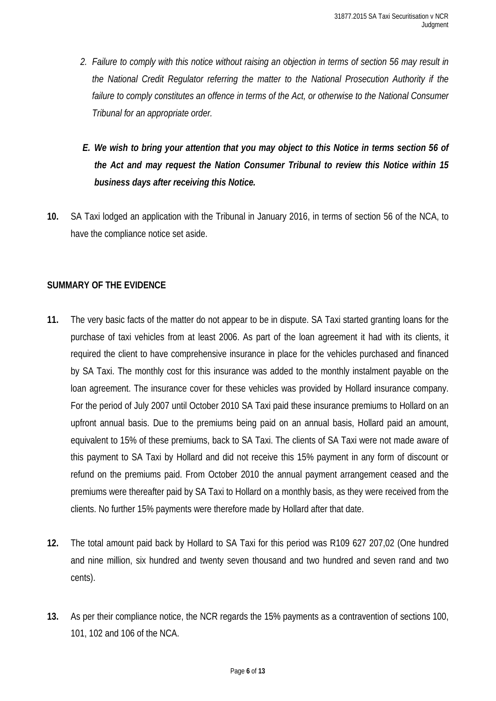- *2. Failure to comply with this notice without raising an objection in terms of section 56 may result in the National Credit Regulator referring the matter to the National Prosecution Authority if the*  failure to comply constitutes an offence in terms of the Act, or otherwise to the National Consumer *Tribunal for an appropriate order.*
- *E. We wish to bring your attention that you may object to this Notice in terms section 56 of the Act and may request the Nation Consumer Tribunal to review this Notice within 15 business days after receiving this Notice.*
- **10.** SA Taxi lodged an application with the Tribunal in January 2016, in terms of section 56 of the NCA, to have the compliance notice set aside.

# **SUMMARY OF THE EVIDENCE**

- **11.** The very basic facts of the matter do not appear to be in dispute. SA Taxi started granting loans for the purchase of taxi vehicles from at least 2006. As part of the loan agreement it had with its clients, it required the client to have comprehensive insurance in place for the vehicles purchased and financed by SA Taxi. The monthly cost for this insurance was added to the monthly instalment payable on the loan agreement. The insurance cover for these vehicles was provided by Hollard insurance company. For the period of July 2007 until October 2010 SA Taxi paid these insurance premiums to Hollard on an upfront annual basis. Due to the premiums being paid on an annual basis, Hollard paid an amount, equivalent to 15% of these premiums, back to SA Taxi. The clients of SA Taxi were not made aware of this payment to SA Taxi by Hollard and did not receive this 15% payment in any form of discount or refund on the premiums paid. From October 2010 the annual payment arrangement ceased and the premiums were thereafter paid by SA Taxi to Hollard on a monthly basis, as they were received from the clients. No further 15% payments were therefore made by Hollard after that date.
- **12.** The total amount paid back by Hollard to SA Taxi for this period was R109 627 207,02 (One hundred and nine million, six hundred and twenty seven thousand and two hundred and seven rand and two cents).
- **13.** As per their compliance notice, the NCR regards the 15% payments as a contravention of sections 100, 101, 102 and 106 of the NCA.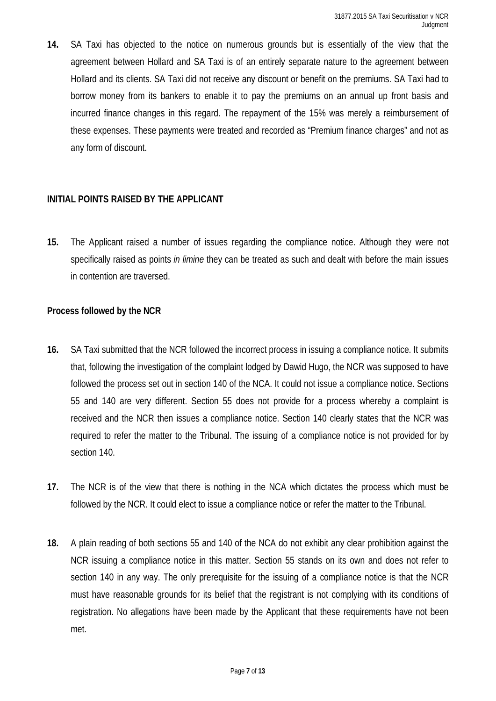**14.** SA Taxi has objected to the notice on numerous grounds but is essentially of the view that the agreement between Hollard and SA Taxi is of an entirely separate nature to the agreement between Hollard and its clients. SA Taxi did not receive any discount or benefit on the premiums. SA Taxi had to borrow money from its bankers to enable it to pay the premiums on an annual up front basis and incurred finance changes in this regard. The repayment of the 15% was merely a reimbursement of these expenses. These payments were treated and recorded as "Premium finance charges" and not as any form of discount.

### **INITIAL POINTS RAISED BY THE APPLICANT**

**15.** The Applicant raised a number of issues regarding the compliance notice. Although they were not specifically raised as points *in limine* they can be treated as such and dealt with before the main issues in contention are traversed.

#### **Process followed by the NCR**

- **16.** SA Taxi submitted that the NCR followed the incorrect process in issuing a compliance notice. It submits that, following the investigation of the complaint lodged by Dawid Hugo, the NCR was supposed to have followed the process set out in section 140 of the NCA. It could not issue a compliance notice. Sections 55 and 140 are very different. Section 55 does not provide for a process whereby a complaint is received and the NCR then issues a compliance notice. Section 140 clearly states that the NCR was required to refer the matter to the Tribunal. The issuing of a compliance notice is not provided for by section 140.
- **17.** The NCR is of the view that there is nothing in the NCA which dictates the process which must be followed by the NCR. It could elect to issue a compliance notice or refer the matter to the Tribunal.
- **18.** A plain reading of both sections 55 and 140 of the NCA do not exhibit any clear prohibition against the NCR issuing a compliance notice in this matter. Section 55 stands on its own and does not refer to section 140 in any way. The only prerequisite for the issuing of a compliance notice is that the NCR must have reasonable grounds for its belief that the registrant is not complying with its conditions of registration. No allegations have been made by the Applicant that these requirements have not been met.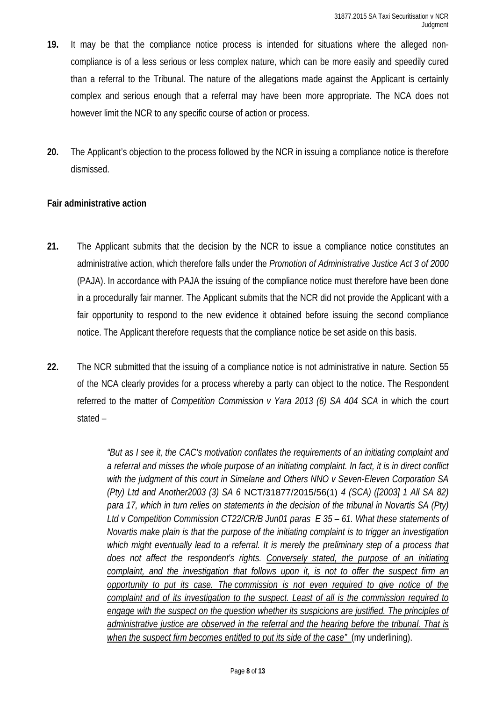- **19.** It may be that the compliance notice process is intended for situations where the alleged noncompliance is of a less serious or less complex nature, which can be more easily and speedily cured than a referral to the Tribunal. The nature of the allegations made against the Applicant is certainly complex and serious enough that a referral may have been more appropriate. The NCA does not however limit the NCR to any specific course of action or process.
- **20.** The Applicant's objection to the process followed by the NCR in issuing a compliance notice is therefore dismissed.

# **Fair administrative action**

- **21.** The Applicant submits that the decision by the NCR to issue a compliance notice constitutes an administrative action, which therefore falls under the *Promotion of Administrative Justice Act 3 of 2000* (PAJA). In accordance with PAJA the issuing of the compliance notice must therefore have been done in a procedurally fair manner. The Applicant submits that the NCR did not provide the Applicant with a fair opportunity to respond to the new evidence it obtained before issuing the second compliance notice. The Applicant therefore requests that the compliance notice be set aside on this basis.
- **22.** The NCR submitted that the issuing of a compliance notice is not administrative in nature. Section 55 of the NCA clearly provides for a process whereby a party can object to the notice. The Respondent referred to the matter of *Competition Commission v Yara 2013 (6) SA 404 SCA* in which the court stated –

*"But as I see it, the CAC's motivation conflates the requirements of an initiating complaint and a referral and misses the whole purpose of an initiating complaint. In fact, it is in direct conflict with the judgment of this court in Simelane and Others NNO v Seven-Eleven Corporation SA (Pty) Ltd and Another2003 (3) SA 6* NCT/31877/2015/56(1) *4 (SCA) ([2003] 1 All SA 82) para 17, which in turn relies on statements in the decision of the tribunal in Novartis SA (Pty) Ltd v Competition Commission CT22/CR/B Jun01 paras E 35 – 61. What these statements of Novartis make plain is that the purpose of the initiating complaint is to trigger an investigation*  which might eventually lead to a referral. It is merely the preliminary step of a process that does not affect the respondent's rights. Conversely stated, the purpose of an initiating *complaint, and the investigation that follows upon it, is not to offer the suspect firm an opportunity to put its case. The commission is not even required to give notice of the complaint and of its investigation to the suspect. Least of all is the commission required to engage with the suspect on the question whether its suspicions are justified. The principles of administrative justice are observed in the referral and the hearing before the tribunal. That is when the suspect firm becomes entitled to put its side of the case"* (my underlining).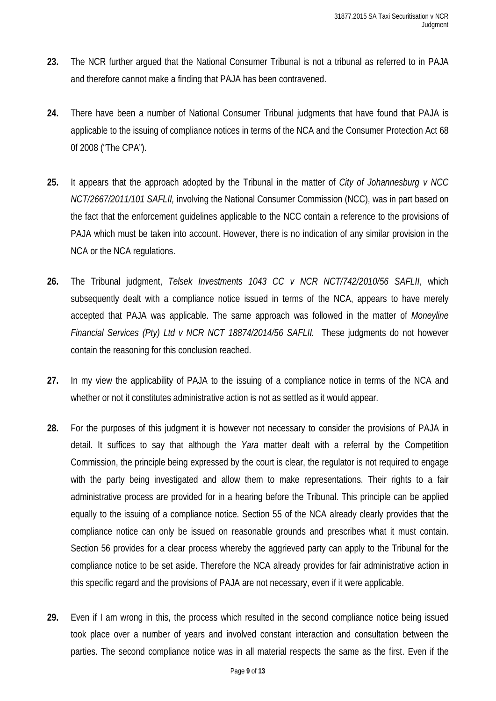- **23.** The NCR further argued that the National Consumer Tribunal is not a tribunal as referred to in PAJA and therefore cannot make a finding that PAJA has been contravened.
- **24.** There have been a number of National Consumer Tribunal judgments that have found that PAJA is applicable to the issuing of compliance notices in terms of the NCA and the Consumer Protection Act 68 0f 2008 ("The CPA").
- **25.** It appears that the approach adopted by the Tribunal in the matter of *City of Johannesburg v NCC NCT/2667/2011/101 SAFLII,* involving the National Consumer Commission (NCC), was in part based on the fact that the enforcement guidelines applicable to the NCC contain a reference to the provisions of PAJA which must be taken into account. However, there is no indication of any similar provision in the NCA or the NCA regulations.
- **26.** The Tribunal judgment, *Telsek Investments 1043 CC v NCR NCT/742/2010/56 SAFLII*, which subsequently dealt with a compliance notice issued in terms of the NCA, appears to have merely accepted that PAJA was applicable. The same approach was followed in the matter of *Moneyline Financial Services (Pty) Ltd v NCR NCT 18874/2014/56 SAFLII.* These judgments do not however contain the reasoning for this conclusion reached.
- **27.** In my view the applicability of PAJA to the issuing of a compliance notice in terms of the NCA and whether or not it constitutes administrative action is not as settled as it would appear.
- **28.** For the purposes of this judgment it is however not necessary to consider the provisions of PAJA in detail. It suffices to say that although the *Yara* matter dealt with a referral by the Competition Commission, the principle being expressed by the court is clear, the regulator is not required to engage with the party being investigated and allow them to make representations. Their rights to a fair administrative process are provided for in a hearing before the Tribunal. This principle can be applied equally to the issuing of a compliance notice. Section 55 of the NCA already clearly provides that the compliance notice can only be issued on reasonable grounds and prescribes what it must contain. Section 56 provides for a clear process whereby the aggrieved party can apply to the Tribunal for the compliance notice to be set aside. Therefore the NCA already provides for fair administrative action in this specific regard and the provisions of PAJA are not necessary, even if it were applicable.
- **29.** Even if I am wrong in this, the process which resulted in the second compliance notice being issued took place over a number of years and involved constant interaction and consultation between the parties. The second compliance notice was in all material respects the same as the first. Even if the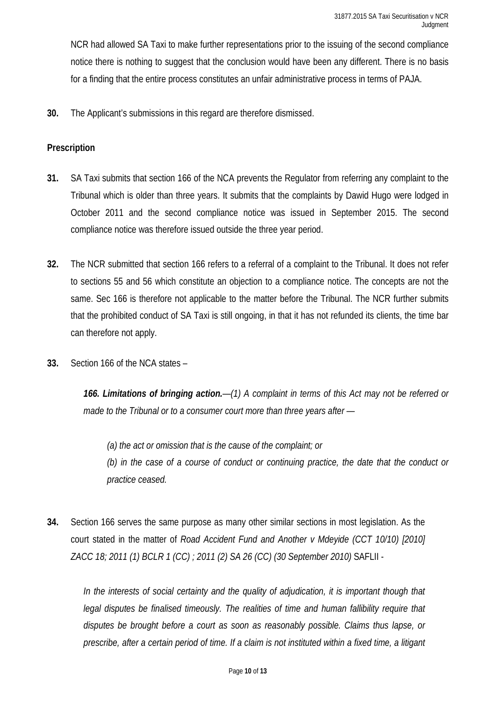NCR had allowed SA Taxi to make further representations prior to the issuing of the second compliance notice there is nothing to suggest that the conclusion would have been any different. There is no basis for a finding that the entire process constitutes an unfair administrative process in terms of PAJA.

**30.** The Applicant's submissions in this regard are therefore dismissed.

## **Prescription**

- **31.** SA Taxi submits that section 166 of the NCA prevents the Regulator from referring any complaint to the Tribunal which is older than three years. It submits that the complaints by Dawid Hugo were lodged in October 2011 and the second compliance notice was issued in September 2015. The second compliance notice was therefore issued outside the three year period.
- **32.** The NCR submitted that section 166 refers to a referral of a complaint to the Tribunal. It does not refer to sections 55 and 56 which constitute an objection to a compliance notice. The concepts are not the same. Sec 166 is therefore not applicable to the matter before the Tribunal. The NCR further submits that the prohibited conduct of SA Taxi is still ongoing, in that it has not refunded its clients, the time bar can therefore not apply.
- **33.** Section 166 of the NCA states –

*166. Limitations of bringing action.—(1) A complaint in terms of this Act may not be referred or made to the Tribunal or to a consumer court more than three years after —*

*(a) the act or omission that is the cause of the complaint; or (b) in the case of a course of conduct or continuing practice, the date that the conduct or practice ceased.*

**34.** Section 166 serves the same purpose as many other similar sections in most legislation. As the court stated in the matter of *Road Accident Fund and Another v Mdeyide (CCT 10/10) [2010] ZACC 18; 2011 (1) BCLR 1 (CC) ; 2011 (2) SA 26 (CC) (30 September 2010)* SAFLII -

In the interests of social certainty and the quality of adjudication, it is important though that *legal disputes be finalised timeously. The realities of time and human fallibility require that disputes be brought before a court as soon as reasonably possible. Claims thus lapse, or prescribe, after a certain period of time. If a claim is not instituted within a fixed time, a litigant*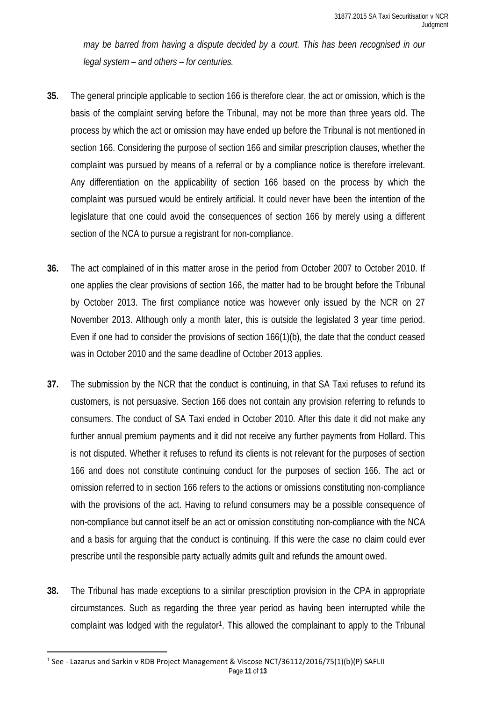*may be barred from having a dispute decided by a court. This has been recognised in our legal system – and others – for centuries.*

- **35.** The general principle applicable to section 166 is therefore clear, the act or omission, which is the basis of the complaint serving before the Tribunal, may not be more than three years old. The process by which the act or omission may have ended up before the Tribunal is not mentioned in section 166. Considering the purpose of section 166 and similar prescription clauses, whether the complaint was pursued by means of a referral or by a compliance notice is therefore irrelevant. Any differentiation on the applicability of section 166 based on the process by which the complaint was pursued would be entirely artificial. It could never have been the intention of the legislature that one could avoid the consequences of section 166 by merely using a different section of the NCA to pursue a registrant for non-compliance.
- **36.** The act complained of in this matter arose in the period from October 2007 to October 2010. If one applies the clear provisions of section 166, the matter had to be brought before the Tribunal by October 2013. The first compliance notice was however only issued by the NCR on 27 November 2013. Although only a month later, this is outside the legislated 3 year time period. Even if one had to consider the provisions of section 166(1)(b), the date that the conduct ceased was in October 2010 and the same deadline of October 2013 applies.
- **37.** The submission by the NCR that the conduct is continuing, in that SA Taxi refuses to refund its customers, is not persuasive. Section 166 does not contain any provision referring to refunds to consumers. The conduct of SA Taxi ended in October 2010. After this date it did not make any further annual premium payments and it did not receive any further payments from Hollard. This is not disputed. Whether it refuses to refund its clients is not relevant for the purposes of section 166 and does not constitute continuing conduct for the purposes of section 166. The act or omission referred to in section 166 refers to the actions or omissions constituting non-compliance with the provisions of the act. Having to refund consumers may be a possible consequence of non-compliance but cannot itself be an act or omission constituting non-compliance with the NCA and a basis for arguing that the conduct is continuing. If this were the case no claim could ever prescribe until the responsible party actually admits guilt and refunds the amount owed.
- **38.** The Tribunal has made exceptions to a similar prescription provision in the CPA in appropriate circumstances. Such as regarding the three year period as having been interrupted while the complaint was lodged with the regulator<sup>1</sup>. This allowed the complainant to apply to the Tribunal

<span id="page-10-0"></span>Page **11** of **13** 1 See - Lazarus and Sarkin v RDB Project Management & Viscose NCT/36112/2016/75(1)(b)(P) SAFLII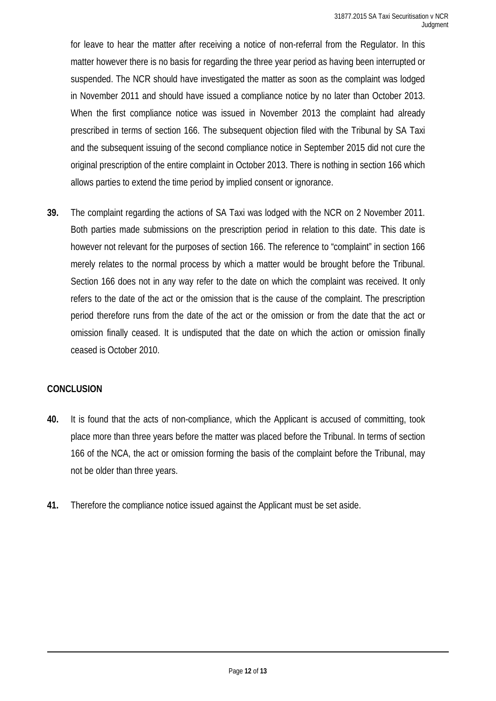for leave to hear the matter after receiving a notice of non-referral from the Regulator. In this matter however there is no basis for regarding the three year period as having been interrupted or suspended. The NCR should have investigated the matter as soon as the complaint was lodged in November 2011 and should have issued a compliance notice by no later than October 2013. When the first compliance notice was issued in November 2013 the complaint had already prescribed in terms of section 166. The subsequent objection filed with the Tribunal by SA Taxi and the subsequent issuing of the second compliance notice in September 2015 did not cure the original prescription of the entire complaint in October 2013. There is nothing in section 166 which allows parties to extend the time period by implied consent or ignorance.

**39.** The complaint regarding the actions of SA Taxi was lodged with the NCR on 2 November 2011. Both parties made submissions on the prescription period in relation to this date. This date is however not relevant for the purposes of section 166. The reference to "complaint" in section 166 merely relates to the normal process by which a matter would be brought before the Tribunal. Section 166 does not in any way refer to the date on which the complaint was received. It only refers to the date of the act or the omission that is the cause of the complaint. The prescription period therefore runs from the date of the act or the omission or from the date that the act or omission finally ceased. It is undisputed that the date on which the action or omission finally ceased is October 2010.

### **CONCLUSION**

 $\overline{a}$ 

- **40.** It is found that the acts of non-compliance, which the Applicant is accused of committing, took place more than three years before the matter was placed before the Tribunal. In terms of section 166 of the NCA, the act or omission forming the basis of the complaint before the Tribunal, may not be older than three years.
- **41.** Therefore the compliance notice issued against the Applicant must be set aside.